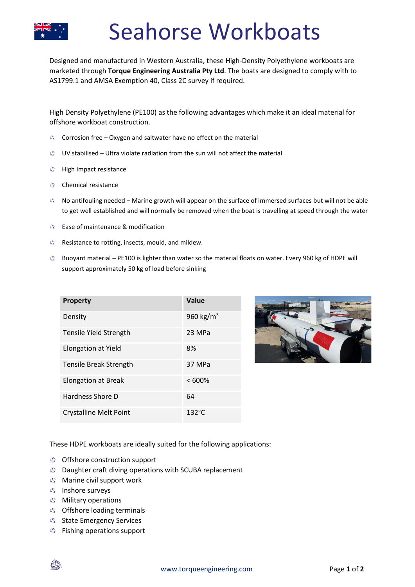

## Seahorse Workboats

Designed and manufactured in Western Australia, these High-Density Polyethylene workboats are marketed through **Torque Engineering Australia Pty Ltd**. The boats are designed to comply with to AS1799.1 and AMSA Exemption 40, Class 2C survey if required.

High Density Polyethylene (PE100) as the following advantages which make it an ideal material for offshore workboat construction.

- Corrosion free Oxygen and saltwater have no effect on the material
- $\bullet$  UV stabilised Ultra violate radiation from the sun will not affect the material
- **G** High Impact resistance
- **S** Chemical resistance
- No antifouling needed Marine growth will appear on the surface of immersed surfaces but will not be able to get well established and will normally be removed when the boat is travelling at speed through the water
- **S** Ease of maintenance & modification
- **B** Resistance to rotting, insects, mould, and mildew.
- Buoyant material PE100 is lighter than water so the material floats on water. Every 960 kg of HDPE will support approximately 50 kg of load before sinking

| <b>Property</b>               | Value                 |
|-------------------------------|-----------------------|
| Density                       | 960 kg/m <sup>3</sup> |
| <b>Tensile Yield Strength</b> | 23 MPa                |
| <b>Elongation at Yield</b>    | 8%                    |
| Tensile Break Strength        | 37 MPa                |
| Elongation at Break           | $<600\%$              |
| Hardness Shore D              | 64                    |
| <b>Crystalline Melt Point</b> | $132^{\circ}$ C       |



These HDPE workboats are ideally suited for the following applications:

- **S** Offshore construction support
- **S** Daughter craft diving operations with SCUBA replacement
- **S** Marine civil support work
- **Inshore surveys**
- **S** Military operations
- **S** Offshore loading terminals
- **State Emergency Services**
- Fishing operations support